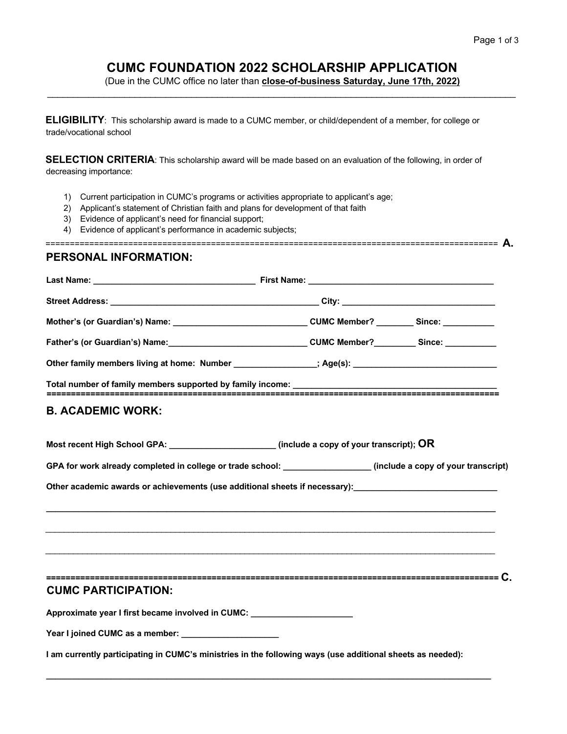## **CUMC FOUNDATION 2022 SCHOLARSHIP APPLICATION**

(Due in the CUMC office no later than **close-of-business Saturday, June 17th, 2022)** \_\_\_\_\_\_\_\_\_\_\_\_\_\_\_\_\_\_\_\_\_\_\_\_\_\_\_\_\_\_\_\_\_\_\_\_\_\_\_\_\_\_\_\_\_\_\_\_\_\_\_\_\_\_\_\_\_\_\_\_\_\_\_\_\_\_\_\_\_\_\_\_\_\_\_\_\_\_\_\_\_\_\_\_\_\_\_\_\_\_\_

**ELIGIBILITY**: This scholarship award is made to a CUMC member, or child/dependent of a member, for college or trade/vocational school

**SELECTION CRITERIA:** This scholarship award will be made based on an evaluation of the following, in order of decreasing importance:

- 1) Current participation in CUMC's programs or activities appropriate to applicant's age;
- 2) Applicant's statement of Christian faith and plans for development of that faith
- 3) Evidence of applicant's need for financial support;
- 4) Evidence of applicant's performance in academic subjects;

============================================================================================= **A.** 

## **PERSONAL INFORMATION:**

| Mother's (or Guardian's) Name: ___________________________________CUMC Member? _________Since: ______________  |  |
|----------------------------------------------------------------------------------------------------------------|--|
|                                                                                                                |  |
| Other family members living at home: Number _______________; Age(s): _______________________________           |  |
|                                                                                                                |  |
| <b>B. ACADEMIC WORK:</b>                                                                                       |  |
| Most recent High School GPA: _______________________(include a copy of your transcript); OR                    |  |
| GPA for work already completed in college or trade school: ________________(include a copy of your transcript) |  |
| Other academic awards or achievements (use additional sheets if necessary):                                    |  |
|                                                                                                                |  |
|                                                                                                                |  |
|                                                                                                                |  |
|                                                                                                                |  |
| <b>CUMC PARTICIPATION:</b>                                                                                     |  |
| Approximate year I first became involved in CUMC:                                                              |  |
| Year I joined CUMC as a member: Nearly Controller and Manuscript Controller and Manuscript Controller          |  |
| I am currently participating in CUMC's ministries in the following ways (use additional sheets as needed):     |  |

**\_\_\_\_\_\_\_\_\_\_\_\_\_\_\_\_\_\_\_\_\_\_\_\_\_\_\_\_\_\_\_\_\_\_\_\_\_\_\_\_\_\_\_\_\_\_\_\_\_\_\_\_\_\_\_\_\_\_\_\_\_\_\_\_\_\_\_\_\_\_\_\_\_\_\_\_\_\_\_\_\_\_\_\_\_\_\_\_\_\_\_\_\_\_\_\_**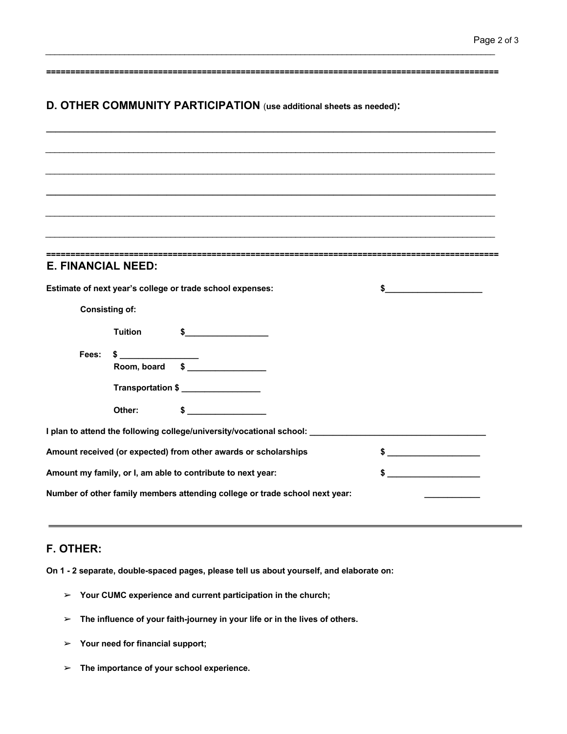|                                                                 |                       | D. OTHER COMMUNITY PARTICIPATION (use additional sheets as needed):              |               |
|-----------------------------------------------------------------|-----------------------|----------------------------------------------------------------------------------|---------------|
|                                                                 |                       |                                                                                  |               |
|                                                                 |                       |                                                                                  |               |
|                                                                 |                       |                                                                                  |               |
|                                                                 |                       |                                                                                  |               |
|                                                                 |                       |                                                                                  |               |
|                                                                 |                       |                                                                                  |               |
|                                                                 |                       |                                                                                  |               |
|                                                                 |                       |                                                                                  |               |
| <b>E. FINANCIAL NEED:</b>                                       |                       |                                                                                  |               |
|                                                                 |                       | Estimate of next year's college or trade school expenses:                        | $\frac{1}{2}$ |
|                                                                 | <b>Consisting of:</b> |                                                                                  |               |
|                                                                 | <b>Tuition</b>        | $\sim$                                                                           |               |
| Fees:                                                           | $\sim$                |                                                                                  |               |
|                                                                 | Room, board           | $\overline{\text{S}}$                                                            |               |
|                                                                 |                       | Transportation \$                                                                |               |
|                                                                 | Other:                | $\sim$                                                                           |               |
|                                                                 |                       | I plan to attend the following college/university/vocational school: ___________ |               |
| Amount received (or expected) from other awards or scholarships |                       | $\frac{1}{2}$                                                                    |               |
| Amount my family, or I, am able to contribute to next year:     |                       | \$                                                                               |               |
|                                                                 |                       |                                                                                  |               |

 $\mathcal{L}_\mathcal{L} = \{ \mathcal{L}_\mathcal{L} = \{ \mathcal{L}_\mathcal{L} = \{ \mathcal{L}_\mathcal{L} = \{ \mathcal{L}_\mathcal{L} = \{ \mathcal{L}_\mathcal{L} = \{ \mathcal{L}_\mathcal{L} = \{ \mathcal{L}_\mathcal{L} = \{ \mathcal{L}_\mathcal{L} = \{ \mathcal{L}_\mathcal{L} = \{ \mathcal{L}_\mathcal{L} = \{ \mathcal{L}_\mathcal{L} = \{ \mathcal{L}_\mathcal{L} = \{ \mathcal{L}_\mathcal{L} = \{ \mathcal{L}_\mathcal{$ 

## **F. OTHER:**

**On 1 - 2 separate, double-spaced pages, please tell us about yourself, and elaborate on:** 

- ➢ **Your CUMC experience and current participation in the church;**
- ➢ **The influence of your faith-journey in your life or in the lives of others.**
- ➢ **Your need for financial support;**
- ➢ **The importance of your school experience.**